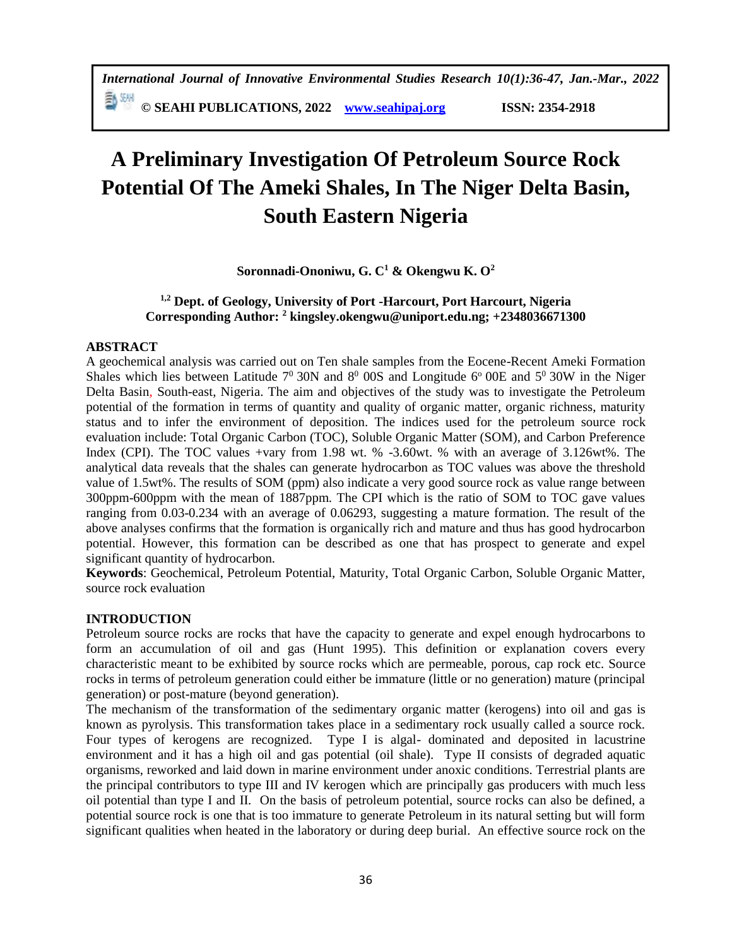**© SEAHI PUBLICATIONS, 2022 [www.seahipaj.org](http://www.seahipaj.org/) ISSN: 2354-2918**

# **A Preliminary Investigation Of Petroleum Source Rock Potential Of The Ameki Shales, In The Niger Delta Basin, South Eastern Nigeria**

**Soronnadi-Ononiwu, G. C<sup>1</sup> & Okengwu K. O<sup>2</sup>**

# **1,2 Dept. of Geology, University of Port -Harcourt, Port Harcourt, Nigeria Corresponding Author: <sup>2</sup> [kingsley.okengwu@uniport.edu.ng;](mailto:kingsley.okengwu@uniport.edu.ng) +2348036671300**

## **ABSTRACT**

A geochemical analysis was carried out on Ten shale samples from the Eocene-Recent Ameki Formation Shales which lies between Latitude  $7^0$  30N and  $8^0$  00S and Longitude 6<sup>o</sup> 00E and  $5^0$  30W in the Niger Delta Basin, South-east, Nigeria. The aim and objectives of the study was to investigate the Petroleum potential of the formation in terms of quantity and quality of organic matter, organic richness, maturity status and to infer the environment of deposition. The indices used for the petroleum source rock evaluation include: Total Organic Carbon (TOC), Soluble Organic Matter (SOM), and Carbon Preference Index (CPI). The TOC values +vary from 1.98 wt. % -3.60wt. % with an average of 3.126wt%. The analytical data reveals that the shales can generate hydrocarbon as TOC values was above the threshold value of 1.5wt%. The results of SOM (ppm) also indicate a very good source rock as value range between 300ppm-600ppm with the mean of 1887ppm. The CPI which is the ratio of SOM to TOC gave values ranging from 0.03-0.234 with an average of 0.06293, suggesting a mature formation. The result of the above analyses confirms that the formation is organically rich and mature and thus has good hydrocarbon potential. However, this formation can be described as one that has prospect to generate and expel significant quantity of hydrocarbon.

**Keywords**: Geochemical, Petroleum Potential, Maturity, Total Organic Carbon, Soluble Organic Matter, source rock evaluation

# **INTRODUCTION**

Petroleum source rocks are rocks that have the capacity to generate and expel enough hydrocarbons to form an accumulation of oil and gas (Hunt 1995). This definition or explanation covers every characteristic meant to be exhibited by source rocks which are permeable, porous, cap rock etc. Source rocks in terms of petroleum generation could either be immature (little or no generation) mature (principal generation) or post-mature (beyond generation).

The mechanism of the transformation of the sedimentary organic matter (kerogens) into oil and gas is known as pyrolysis. This transformation takes place in a sedimentary rock usually called a source rock. Four types of kerogens are recognized. Type I is algal- dominated and deposited in lacustrine environment and it has a high oil and gas potential (oil shale). Type II consists of degraded aquatic organisms, reworked and laid down in marine environment under anoxic conditions. Terrestrial plants are the principal contributors to type III and IV kerogen which are principally gas producers with much less oil potential than type I and II. On the basis of petroleum potential, source rocks can also be defined, a potential source rock is one that is too immature to generate Petroleum in its natural setting but will form significant qualities when heated in the laboratory or during deep burial. An effective source rock on the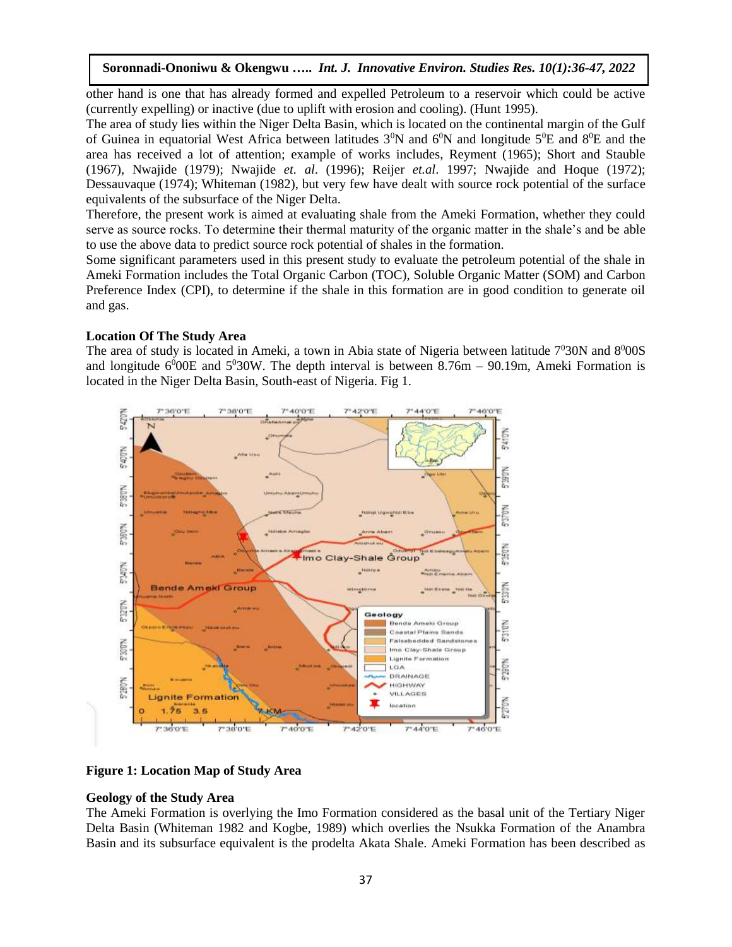other hand is one that has already formed and expelled Petroleum to a reservoir which could be active (currently expelling) or inactive (due to uplift with erosion and cooling). (Hunt 1995).

The area of study lies within the Niger Delta Basin, which is located on the continental margin of the Gulf of Guinea in equatorial West Africa between latitudes  $3^{\circ}N$  and  $6^{\circ}N$  and longitude  $5^{\circ}E$  and  $8^{\circ}E$  and the area has received a lot of attention; example of works includes, Reyment (1965); Short and Stauble (1967), Nwajide (1979); Nwajide *et. al*. (1996); Reijer *et.al*. 1997; Nwajide and Hoque (1972); Dessauvaque (1974); Whiteman (1982), but very few have dealt with source rock potential of the surface equivalents of the subsurface of the Niger Delta.

Therefore, the present work is aimed at evaluating shale from the Ameki Formation, whether they could serve as source rocks. To determine their thermal maturity of the organic matter in the shale's and be able to use the above data to predict source rock potential of shales in the formation.

Some significant parameters used in this present study to evaluate the petroleum potential of the shale in Ameki Formation includes the Total Organic Carbon (TOC), Soluble Organic Matter (SOM) and Carbon Preference Index (CPI), to determine if the shale in this formation are in good condition to generate oil and gas.

#### **Location Of The Study Area**

The area of study is located in Ameki, a town in Abia state of Nigeria between latitude  $7^030N$  and  $8^000S$ and longitude  $6^{0}$ 00E and  $5^{0}$ 30W. The depth interval is between 8.76m – 90.19m, Ameki Formation is located in the Niger Delta Basin, South-east of Nigeria. Fig 1.



### **Figure 1: Location Map of Study Area**

### **Geology of the Study Area**

The Ameki Formation is overlying the Imo Formation considered as the basal unit of the Tertiary Niger Delta Basin (Whiteman 1982 and Kogbe, 1989) which overlies the Nsukka Formation of the Anambra Basin and its subsurface equivalent is the prodelta Akata Shale. Ameki Formation has been described as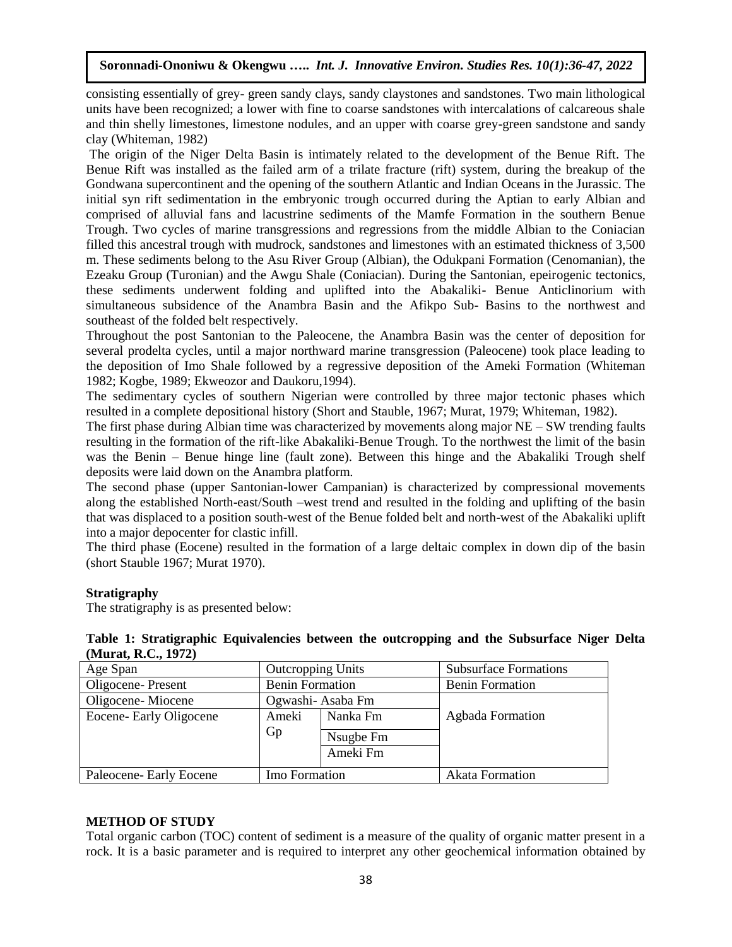consisting essentially of grey- green sandy clays, sandy claystones and sandstones. Two main lithological units have been recognized; a lower with fine to coarse sandstones with intercalations of calcareous shale and thin shelly limestones, limestone nodules, and an upper with coarse grey-green sandstone and sandy clay (Whiteman, 1982)

The origin of the Niger Delta Basin is intimately related to the development of the Benue Rift. The Benue Rift was installed as the failed arm of a trilate fracture (rift) system, during the breakup of the Gondwana supercontinent and the opening of the southern Atlantic and Indian Oceans in the Jurassic. The initial syn rift sedimentation in the embryonic trough occurred during the Aptian to early Albian and comprised of alluvial fans and lacustrine sediments of the Mamfe Formation in the southern Benue Trough. Two cycles of marine transgressions and regressions from the middle Albian to the Coniacian filled this ancestral trough with mudrock, sandstones and limestones with an estimated thickness of 3,500 m. These sediments belong to the Asu River Group (Albian), the Odukpani Formation (Cenomanian), the Ezeaku Group (Turonian) and the Awgu Shale (Coniacian). During the Santonian, epeirogenic tectonics, these sediments underwent folding and uplifted into the Abakaliki- Benue Anticlinorium with simultaneous subsidence of the Anambra Basin and the Afikpo Sub- Basins to the northwest and southeast of the folded belt respectively.

Throughout the post Santonian to the Paleocene, the Anambra Basin was the center of deposition for several prodelta cycles, until a major northward marine transgression (Paleocene) took place leading to the deposition of Imo Shale followed by a regressive deposition of the Ameki Formation (Whiteman 1982; Kogbe, 1989; Ekweozor and Daukoru,1994).

The sedimentary cycles of southern Nigerian were controlled by three major tectonic phases which resulted in a complete depositional history (Short and Stauble, 1967; Murat, 1979; Whiteman, 1982).

The first phase during Albian time was characterized by movements along major  $NE - SW$  trending faults resulting in the formation of the rift-like Abakaliki-Benue Trough. To the northwest the limit of the basin was the Benin – Benue hinge line (fault zone). Between this hinge and the Abakaliki Trough shelf deposits were laid down on the Anambra platform.

The second phase (upper Santonian-lower Campanian) is characterized by compressional movements along the established North-east/South –west trend and resulted in the folding and uplifting of the basin that was displaced to a position south-west of the Benue folded belt and north-west of the Abakaliki uplift into a major depocenter for clastic infill.

The third phase (Eocene) resulted in the formation of a large deltaic complex in down dip of the basin (short Stauble 1967; Murat 1970).

### **Stratigraphy**

The stratigraphy is as presented below:

| Table 1: Stratigraphic Equivalencies between the outcropping and the Subsurface Niger Delta |  |  |  |  |  |
|---------------------------------------------------------------------------------------------|--|--|--|--|--|
| (Murat, R.C., 1972)                                                                         |  |  |  |  |  |

| Age Span                | <b>Outcropping Units</b> |          | <b>Subsurface Formations</b> |
|-------------------------|--------------------------|----------|------------------------------|
| Oligocene-Present       | <b>Benin Formation</b>   |          | <b>Benin Formation</b>       |
| Oligocene-Miocene       | Ogwashi-Asaba Fm         |          |                              |
| Eocene- Early Oligocene | Ameki<br>Nanka Fm        |          | Agbada Formation             |
|                         | Gp<br>Nsugbe Fm          |          |                              |
|                         |                          | Ameki Fm |                              |
| Paleocene- Early Eocene | Imo Formation            |          | <b>Akata Formation</b>       |

#### **METHOD OF STUDY**

Total organic carbon (TOC) content of sediment is a measure of the quality of organic matter present in a rock. It is a basic parameter and is required to interpret any other geochemical information obtained by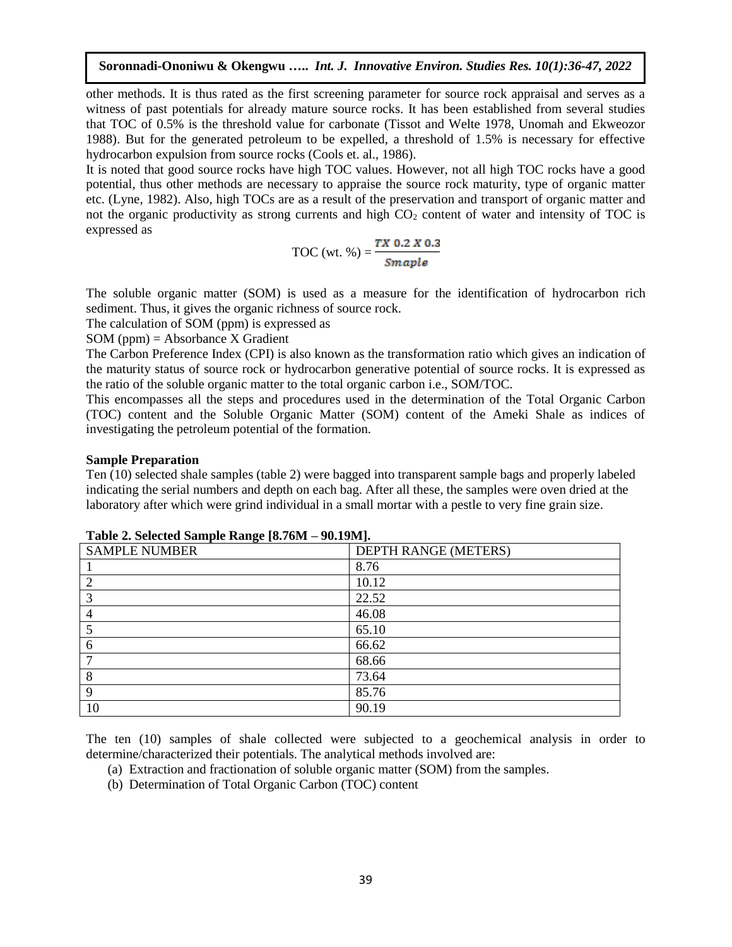other methods. It is thus rated as the first screening parameter for source rock appraisal and serves as a witness of past potentials for already mature source rocks. It has been established from several studies that TOC of 0.5% is the threshold value for carbonate (Tissot and Welte 1978, Unomah and Ekweozor 1988). But for the generated petroleum to be expelled, a threshold of 1.5% is necessary for effective hydrocarbon expulsion from source rocks (Cools et. al., 1986).

It is noted that good source rocks have high TOC values. However, not all high TOC rocks have a good potential, thus other methods are necessary to appraise the source rock maturity, type of organic matter etc. (Lyne, 1982). Also, high TOCs are as a result of the preservation and transport of organic matter and not the organic productivity as strong currents and high  $CO<sub>2</sub>$  content of water and intensity of TOC is expressed as

TOC (wt. %) = 
$$
\frac{TX \ 0.2 \ X \ 0.3}{Smaple}
$$

The soluble organic matter (SOM) is used as a measure for the identification of hydrocarbon rich sediment. Thus, it gives the organic richness of source rock.

The calculation of SOM (ppm) is expressed as

 $SOM$  (ppm) = Absorbance X Gradient

The Carbon Preference Index (CPI) is also known as the transformation ratio which gives an indication of the maturity status of source rock or hydrocarbon generative potential of source rocks. It is expressed as the ratio of the soluble organic matter to the total organic carbon i.e., SOM/TOC.

This encompasses all the steps and procedures used in the determination of the Total Organic Carbon (TOC) content and the Soluble Organic Matter (SOM) content of the Ameki Shale as indices of investigating the petroleum potential of the formation.

#### **Sample Preparation**

Ten (10) selected shale samples (table 2) were bagged into transparent sample bags and properly labeled indicating the serial numbers and depth on each bag. After all these, the samples were oven dried at the laboratory after which were grind individual in a small mortar with a pestle to very fine grain size.

| <b>SAMPLE NUMBER</b> | DEPTH RANGE (METERS) |
|----------------------|----------------------|
|                      | 8.76                 |
| ◠                    | 10.12                |
| 3                    | 22.52                |
| 4                    | 46.08                |
| 5                    | 65.10                |
| 6                    | 66.62                |
|                      | 68.66                |
| 8                    | 73.64                |
| $\mathbf Q$          | 85.76                |
| 10                   | 90.19                |

**Table 2. Selected Sample Range [8.76M – 90.19M].**

The ten (10) samples of shale collected were subjected to a geochemical analysis in order to determine/characterized their potentials. The analytical methods involved are:

- (a) Extraction and fractionation of soluble organic matter (SOM) from the samples.
- (b) Determination of Total Organic Carbon (TOC) content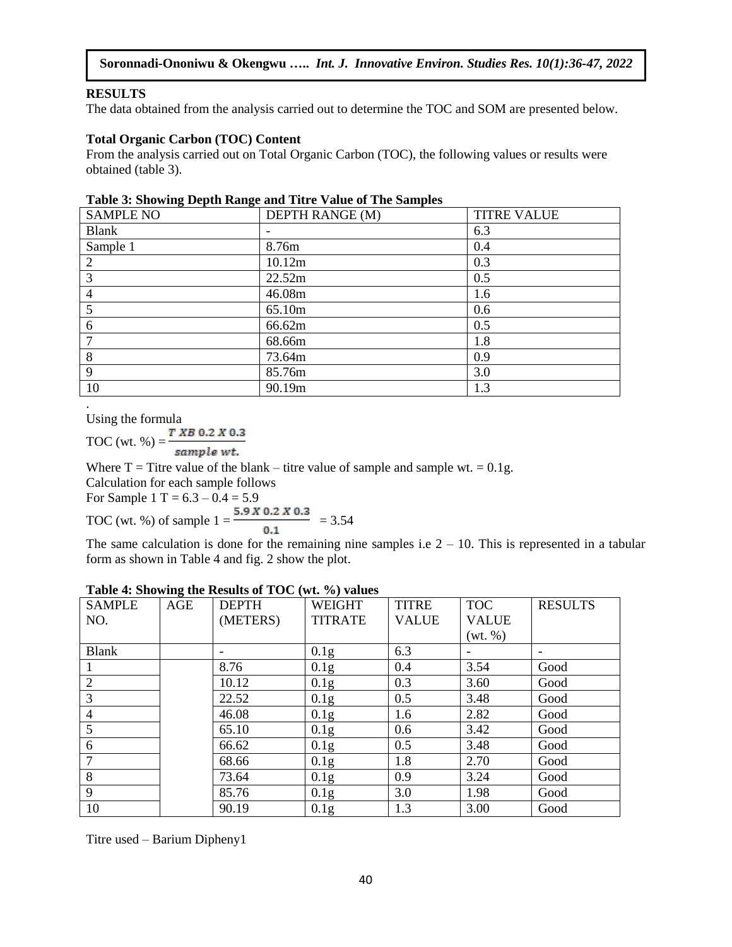#### **RESULTS**

The data obtained from the analysis carried out to determine the TOC and SOM are presented below.

#### **Total Organic Carbon (TOC) Content**

From the analysis carried out on Total Organic Carbon (TOC), the following values or results were obtained (table 3).

| <b>SAMPLE NO</b> | DEPTH RANGE (M) | <b>TITRE VALUE</b> |
|------------------|-----------------|--------------------|
| <b>Blank</b>     |                 | 6.3                |
| Sample 1         | 8.76m           | 0.4                |
| 2                | 10.12m          | 0.3                |
| 3                | 22.52m          | 0.5                |
| $\overline{4}$   | 46.08m          | 1.6                |
| 5                | 65.10m          | 0.6                |
| 6                | 66.62m          | 0.5                |
| 7                | 68.66m          | 1.8                |
| 8                | 73.64m          | 0.9                |
| 9                | 85.76m          | 3.0                |
| 10               | 90.19m          | 1.3                |

. Using the formula

TOC (wt. %) =  $\frac{T X B 0.2 X 0.3}{T}$ sample wt.

Where  $T =$  Titre value of the blank – titre value of sample and sample wt. = 0.1g.

Calculation for each sample follows

For Sample 1 T =  $6.3 - 0.4 = 5.9$ 

TOC (wt. %) of sample 
$$
1 = \frac{5.9 \times 0.2 \times 0.3}{0.1} = 3.54
$$

The same calculation is done for the remaining nine samples i.e  $2 - 10$ . This is represented in a tabular form as shown in Table 4 and fig. 2 show the plot.

| <b>SAMPLE</b>  | <del></del><br>AGE | <b>DEPTH</b> | <b>WEIGHT</b>    | <b>TITRE</b> | <b>TOC</b>   | <b>RESULTS</b> |
|----------------|--------------------|--------------|------------------|--------------|--------------|----------------|
| NO.            |                    | (METERS)     | <b>TITRATE</b>   | <b>VALUE</b> | <b>VALUE</b> |                |
|                |                    |              |                  |              | (wt. %)      |                |
| <b>Blank</b>   |                    |              | 0.1 <sub>g</sub> | 6.3          |              |                |
|                |                    | 8.76         | 0.1g             | 0.4          | 3.54         | Good           |
| $\overline{2}$ |                    | 10.12        | 0.1g             | 0.3          | 3.60         | Good           |
| 3              |                    | 22.52        | 0.1g             | 0.5          | 3.48         | Good           |
| $\overline{4}$ |                    | 46.08        | 0.1g             | 1.6          | 2.82         | Good           |
| 5              |                    | 65.10        | 0.1g             | 0.6          | 3.42         | Good           |
| 6              |                    | 66.62        | 0.1g             | 0.5          | 3.48         | Good           |
| $\overline{7}$ |                    | 68.66        | 0.1g             | 1.8          | 2.70         | Good           |
| 8              |                    | 73.64        | 0.1 <sub>g</sub> | 0.9          | 3.24         | Good           |
| 9              |                    | 85.76        | 0.1g             | 3.0          | 1.98         | Good           |
| 10             |                    | 90.19        | 0.1 <sub>g</sub> | 1.3          | 3.00         | Good           |

#### **Table 4: Showing the Results of TOC (wt. %) values**

Titre used – Barium Dipheny1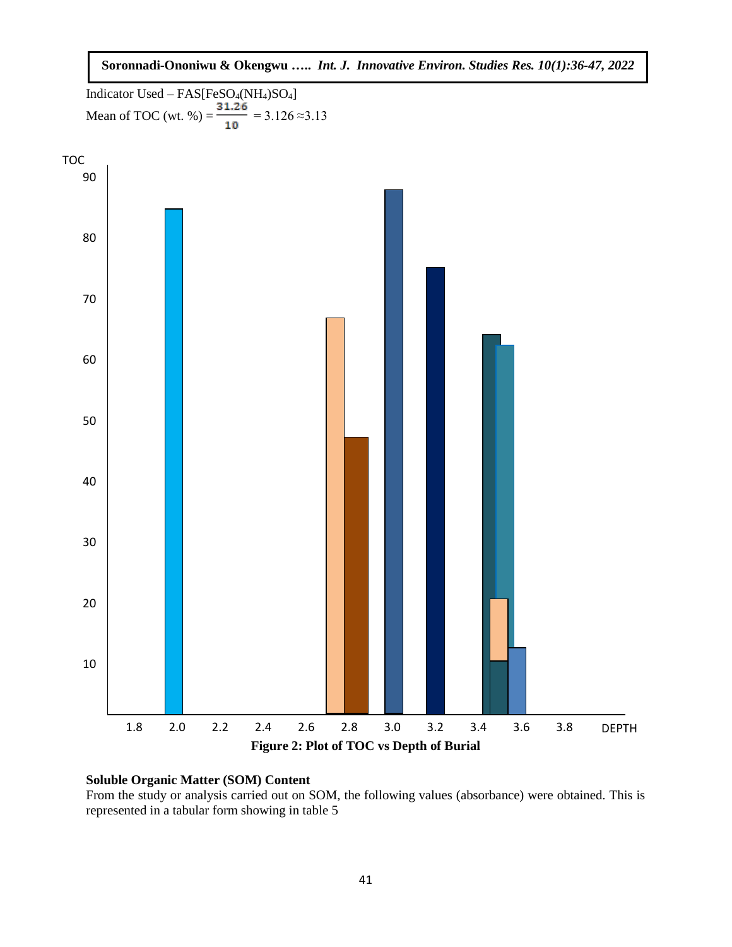**Soronnadi-Ononiwu & Okengwu …..** *Int. J. Innovative Environ. Studies Res. 10(1):36-47, 2022*

Indicator Used – FAS[FeSO4(NH4)SO4] Mean of TOC (wt. %) =  $\frac{ }{ }$  = 3.126 ≈3.13



#### **Soluble Organic Matter (SOM) Content**

From the study or analysis carried out on SOM, the following values (absorbance) were obtained. This is represented in a tabular form showing in table 5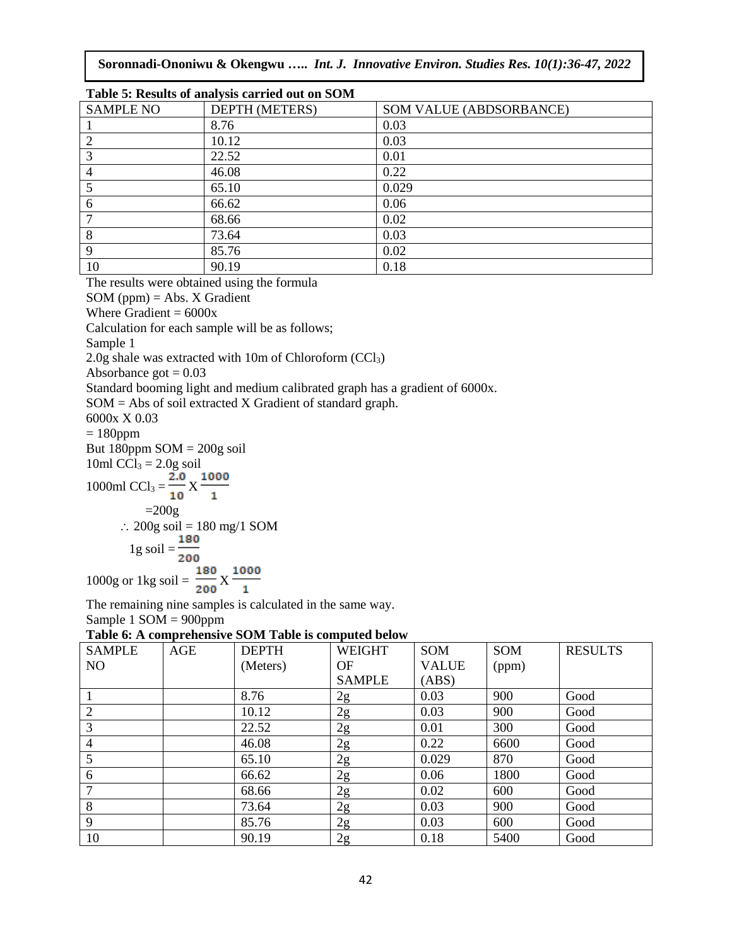**Soronnadi-Ononiwu & Okengwu …..** *Int. J. Innovative Environ. Studies Res. 10(1):36-47, 2022*

| Table 5: Results of analysis carried out on SOM |                       |                         |  |  |  |  |
|-------------------------------------------------|-----------------------|-------------------------|--|--|--|--|
| <b>SAMPLE NO</b>                                | <b>DEPTH (METERS)</b> | SOM VALUE (ABDSORBANCE) |  |  |  |  |
|                                                 | 8.76                  | 0.03                    |  |  |  |  |
| $\overline{2}$                                  | 10.12                 | 0.03                    |  |  |  |  |
| 3                                               | 22.52                 | 0.01                    |  |  |  |  |
| $\overline{4}$                                  | 46.08                 | 0.22                    |  |  |  |  |
|                                                 | 65.10                 | 0.029                   |  |  |  |  |
| 6                                               | 66.62                 | 0.06                    |  |  |  |  |
|                                                 | 68.66                 | 0.02                    |  |  |  |  |
| 8                                               | 73.64                 | 0.03                    |  |  |  |  |
| 9                                               | 85.76                 | 0.02                    |  |  |  |  |
| 10                                              | 90.19                 | 0.18                    |  |  |  |  |

The results were obtained using the formula

 $SOM (ppm) = Abs. X Gradient$ 

Where Gradient  $= 6000x$ 

Calculation for each sample will be as follows;

Sample 1

2.0g shale was extracted with 10m of Chloroform (CCl3)

Absorbance got  $= 0.03$ 

Standard booming light and medium calibrated graph has a gradient of 6000x.

SOM = Abs of soil extracted X Gradient of standard graph.

6000x X 0.03

 $= 180$ ppm

But  $180$ ppm  $SOM = 200g$  soil

10ml  $CCl_3 = 2.0g$  soil

$$
1000 \text{ml CC1}_3 = \frac{2.0}{10} \text{X} \frac{1000}{1}
$$

$$
=200g
$$

$$
\therefore 200g \text{ soil} = 180 \text{ mg}/1 \text{ SOM}
$$

$$
\frac{1}{10 \text{ soil}} = \frac{180}{}
$$

$$
1\,\mathrm{g}\,\mathrm{son} = \frac{1}{200}
$$

1000g or 1kg soil =  $\frac{180}{200}$  X  $\frac{1000}{1}$ 

The remaining nine samples is calculated in the same way.

Sample 1 SOM = 900ppm

| Table 6: A comprehensive SOM Table is computed below |  |
|------------------------------------------------------|--|
|------------------------------------------------------|--|

| <b>SAMPLE</b>  | AGE | <b>DEPTH</b> | <b>WEIGHT</b> | SOM          | SOM   | <b>RESULTS</b> |
|----------------|-----|--------------|---------------|--------------|-------|----------------|
| N <sub>O</sub> |     | (Meters)     | OF            | <b>VALUE</b> | (ppm) |                |
|                |     |              | <b>SAMPLE</b> | (ABS)        |       |                |
|                |     | 8.76         | 2g            | 0.03         | 900   | Good           |
| 2              |     | 10.12        | 2g            | 0.03         | 900   | Good           |
| 3              |     | 22.52        | 2g            | 0.01         | 300   | Good           |
| $\overline{4}$ |     | 46.08        | 2g            | 0.22         | 6600  | Good           |
| 5              |     | 65.10        | 2g            | 0.029        | 870   | Good           |
| 6              |     | 66.62        | 2g            | 0.06         | 1800  | Good           |
| 7              |     | 68.66        | 2g            | 0.02         | 600   | Good           |
| 8              |     | 73.64        | 2g            | 0.03         | 900   | Good           |
| 9              |     | 85.76        | 2g            | 0.03         | 600   | Good           |
| 10             |     | 90.19        | 2g            | 0.18         | 5400  | Good           |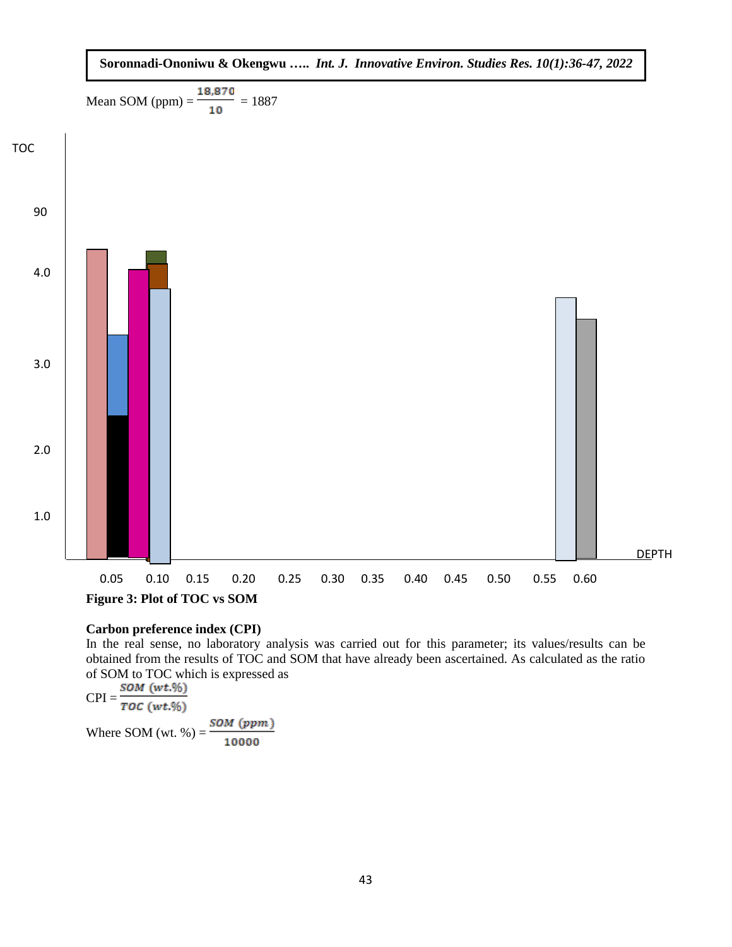

#### **Carbon preference index (CPI)**

In the real sense, no laboratory analysis was carried out for this parameter; its values/results can be obtained from the results of TOC and SOM that have already been ascertained. As calculated as the ratio of SOM to TOC which is expressed as<br> $\frac{SOM (wt.%)}{T}$ 

 $CPI = \frac{1}{TOC(wt.\%)}$ Where SOM (wt. %) =  $\frac{SOM (ppm)}{10000}$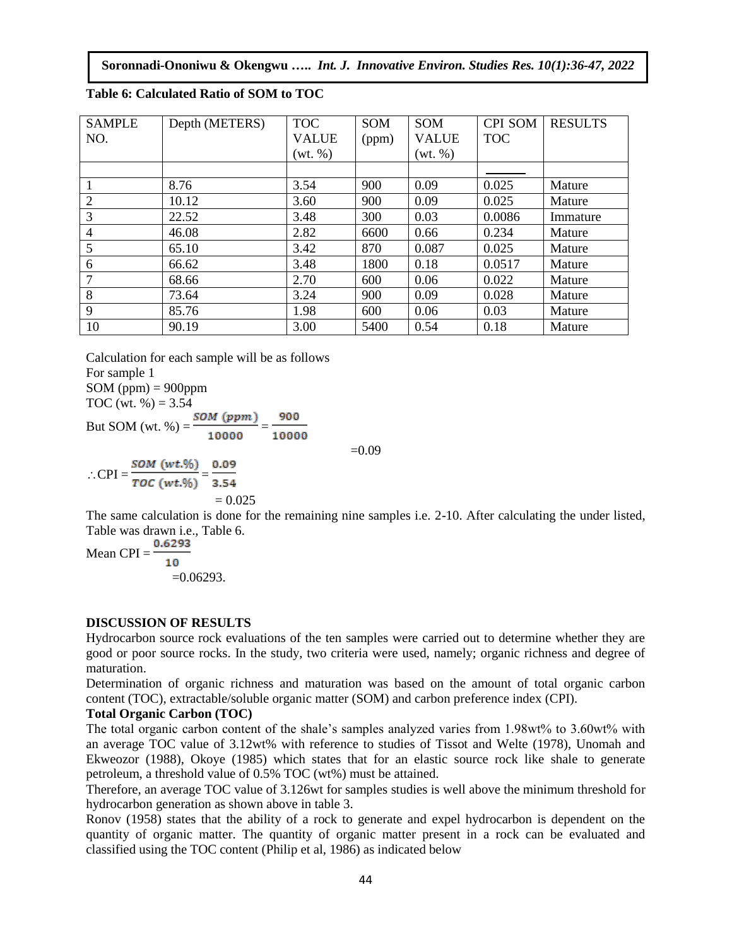**Soronnadi-Ononiwu & Okengwu …..** *Int. J. Innovative Environ. Studies Res. 10(1):36-47, 2022*

| <b>SAMPLE</b>  | Depth (METERS) | <b>TOC</b>   | <b>SOM</b> | SOM          | <b>CPI SOM</b> | <b>RESULTS</b> |
|----------------|----------------|--------------|------------|--------------|----------------|----------------|
| NO.            |                | <b>VALUE</b> | (ppm)      | <b>VALUE</b> | <b>TOC</b>     |                |
|                |                | (wt. %)      |            | (wt. %)      |                |                |
|                |                |              |            |              |                |                |
|                | 8.76           | 3.54         | 900        | 0.09         | 0.025          | Mature         |
| $\overline{2}$ | 10.12          | 3.60         | 900        | 0.09         | 0.025          | Mature         |
| 3              | 22.52          | 3.48         | 300        | 0.03         | 0.0086         | Immature       |
| $\overline{4}$ | 46.08          | 2.82         | 6600       | 0.66         | 0.234          | Mature         |
| 5              | 65.10          | 3.42         | 870        | 0.087        | 0.025          | Mature         |
| 6              | 66.62          | 3.48         | 1800       | 0.18         | 0.0517         | Mature         |
| 7              | 68.66          | 2.70         | 600        | 0.06         | 0.022          | Mature         |
| 8              | 73.64          | 3.24         | 900        | 0.09         | 0.028          | Mature         |
| 9              | 85.76          | 1.98         | 600        | 0.06         | 0.03           | Mature         |
| 10             | 90.19          | 3.00         | 5400       | 0.54         | 0.18           | Mature         |

**Table 6: Calculated Ratio of SOM to TOC**

Calculation for each sample will be as follows For sample 1  $SOM$  (ppm) = 900ppm TOC (wt.  $% = 3.54$ )

But SOM (wt. %) =  $\frac{SOM (ppm)}{10000} = \frac{900}{10000}$ 

 $\therefore \text{CPI} = \frac{SOM (wt. \%)}{TOC (wt. \%)} = \frac{0.09}{3.54}$  $= 0.025$ 

The same calculation is done for the remaining nine samples i.e. 2-10. After calculating the under listed, Table was drawn i.e., Table 6.

 $=0.09$ 

Mean CPI =  $\frac{0.6293}{0.6293}$ 10  $=0.06293$ .

#### **DISCUSSION OF RESULTS**

Hydrocarbon source rock evaluations of the ten samples were carried out to determine whether they are good or poor source rocks. In the study, two criteria were used, namely; organic richness and degree of maturation.

Determination of organic richness and maturation was based on the amount of total organic carbon content (TOC), extractable/soluble organic matter (SOM) and carbon preference index (CPI).

#### **Total Organic Carbon (TOC)**

The total organic carbon content of the shale's samples analyzed varies from 1.98wt% to 3.60wt% with an average TOC value of 3.12wt% with reference to studies of Tissot and Welte (1978), Unomah and Ekweozor (1988), Okoye (1985) which states that for an elastic source rock like shale to generate petroleum, a threshold value of 0.5% TOC (wt%) must be attained.

Therefore, an average TOC value of 3.126wt for samples studies is well above the minimum threshold for hydrocarbon generation as shown above in table 3.

Ronov (1958) states that the ability of a rock to generate and expel hydrocarbon is dependent on the quantity of organic matter. The quantity of organic matter present in a rock can be evaluated and classified using the TOC content (Philip et al, 1986) as indicated below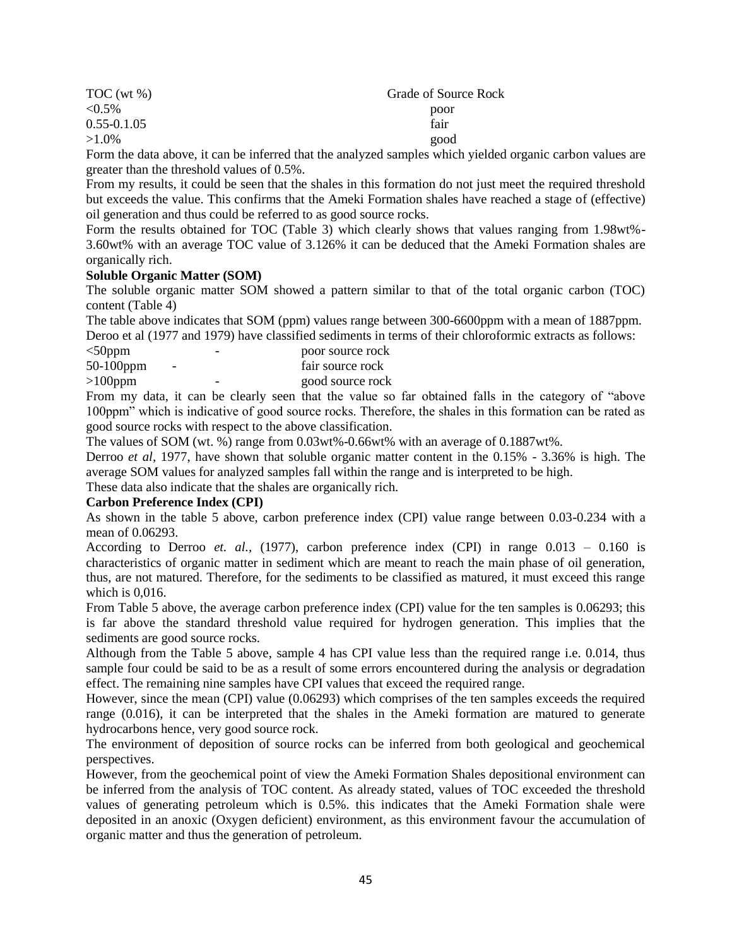| TOC (wt %)      | Grade of Source Rock |
|-----------------|----------------------|
| $< 0.5\%$       | poor                 |
| $0.55 - 0.1.05$ | fair                 |
| $>1.0\%$        | good                 |
| .               |                      |

Form the data above, it can be inferred that the analyzed samples which yielded organic carbon values are greater than the threshold values of 0.5%.

From my results, it could be seen that the shales in this formation do not just meet the required threshold but exceeds the value. This confirms that the Ameki Formation shales have reached a stage of (effective) oil generation and thus could be referred to as good source rocks.

Form the results obtained for TOC (Table 3) which clearly shows that values ranging from 1.98wt%- 3.60wt% with an average TOC value of 3.126% it can be deduced that the Ameki Formation shales are organically rich.

#### **Soluble Organic Matter (SOM)**

The soluble organic matter SOM showed a pattern similar to that of the total organic carbon (TOC) content (Table 4)

The table above indicates that SOM (ppm) values range between 300-6600ppm with a mean of 1887ppm. Deroo et al (1977 and 1979) have classified sediments in terms of their chloroformic extracts as follows:

| $<$ 50ppm    |                          | - | poor source rock |
|--------------|--------------------------|---|------------------|
| $50-100$ ppm | $\overline{\phantom{0}}$ |   | fair source rock |
| $>100$ ppm   |                          | - | good source rock |

From my data, it can be clearly seen that the value so far obtained falls in the category of "above 100ppm" which is indicative of good source rocks. Therefore, the shales in this formation can be rated as good source rocks with respect to the above classification.

The values of SOM (wt. %) range from 0.03wt%-0.66wt% with an average of 0.1887wt%.

Derroo *et al,* 1977, have shown that soluble organic matter content in the 0.15% - 3.36% is high. The average SOM values for analyzed samples fall within the range and is interpreted to be high.

These data also indicate that the shales are organically rich.

#### **Carbon Preference Index (CPI)**

As shown in the table 5 above, carbon preference index (CPI) value range between 0.03-0.234 with a mean of 0.06293.

According to Derroo *et. al.,* (1977), carbon preference index (CPI) in range 0.013 – 0.160 is characteristics of organic matter in sediment which are meant to reach the main phase of oil generation, thus, are not matured. Therefore, for the sediments to be classified as matured, it must exceed this range which is 0,016.

From Table 5 above, the average carbon preference index (CPI) value for the ten samples is 0.06293; this is far above the standard threshold value required for hydrogen generation. This implies that the sediments are good source rocks.

Although from the Table 5 above, sample 4 has CPI value less than the required range i.e. 0.014, thus sample four could be said to be as a result of some errors encountered during the analysis or degradation effect. The remaining nine samples have CPI values that exceed the required range.

However, since the mean (CPI) value (0.06293) which comprises of the ten samples exceeds the required range (0.016), it can be interpreted that the shales in the Ameki formation are matured to generate hydrocarbons hence, very good source rock.

The environment of deposition of source rocks can be inferred from both geological and geochemical perspectives.

However, from the geochemical point of view the Ameki Formation Shales depositional environment can be inferred from the analysis of TOC content. As already stated, values of TOC exceeded the threshold values of generating petroleum which is 0.5%. this indicates that the Ameki Formation shale were deposited in an anoxic (Oxygen deficient) environment, as this environment favour the accumulation of organic matter and thus the generation of petroleum.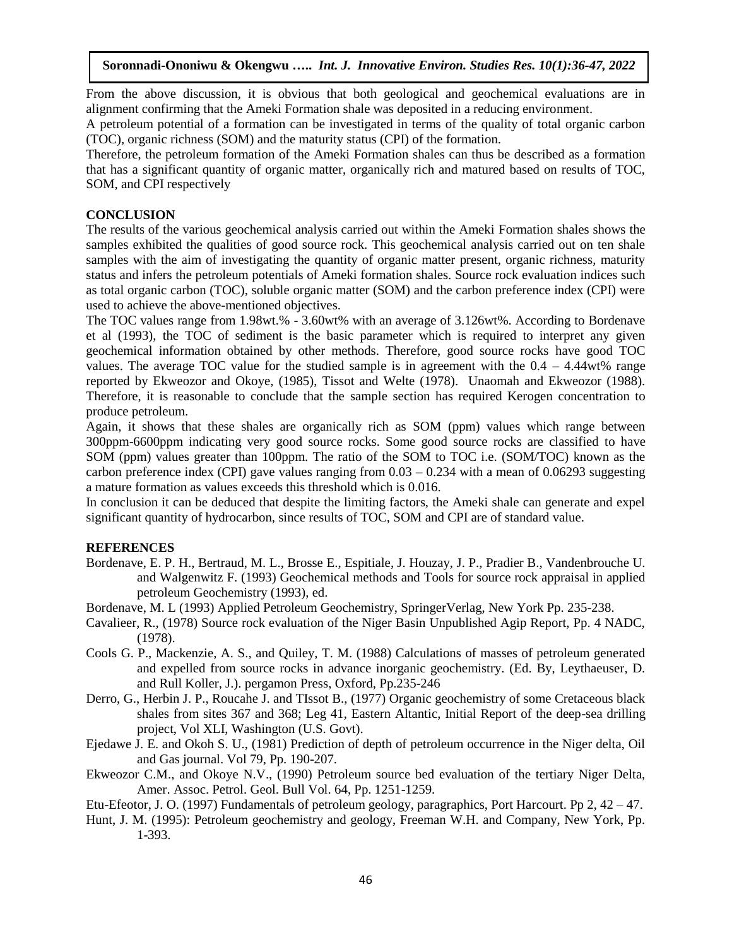From the above discussion, it is obvious that both geological and geochemical evaluations are in alignment confirming that the Ameki Formation shale was deposited in a reducing environment.

A petroleum potential of a formation can be investigated in terms of the quality of total organic carbon (TOC), organic richness (SOM) and the maturity status (CPI) of the formation.

Therefore, the petroleum formation of the Ameki Formation shales can thus be described as a formation that has a significant quantity of organic matter, organically rich and matured based on results of TOC, SOM, and CPI respectively

### **CONCLUSION**

The results of the various geochemical analysis carried out within the Ameki Formation shales shows the samples exhibited the qualities of good source rock. This geochemical analysis carried out on ten shale samples with the aim of investigating the quantity of organic matter present, organic richness, maturity status and infers the petroleum potentials of Ameki formation shales. Source rock evaluation indices such as total organic carbon (TOC), soluble organic matter (SOM) and the carbon preference index (CPI) were used to achieve the above-mentioned objectives.

The TOC values range from 1.98wt.% - 3.60wt% with an average of 3.126wt%. According to Bordenave et al (1993), the TOC of sediment is the basic parameter which is required to interpret any given geochemical information obtained by other methods. Therefore, good source rocks have good TOC values. The average TOC value for the studied sample is in agreement with the  $0.4 - 4.44$  wth range reported by Ekweozor and Okoye, (1985), Tissot and Welte (1978). Unaomah and Ekweozor (1988). Therefore, it is reasonable to conclude that the sample section has required Kerogen concentration to produce petroleum.

Again, it shows that these shales are organically rich as SOM (ppm) values which range between 300ppm-6600ppm indicating very good source rocks. Some good source rocks are classified to have SOM (ppm) values greater than 100ppm. The ratio of the SOM to TOC i.e. (SOM/TOC) known as the carbon preference index (CPI) gave values ranging from  $0.03 - 0.234$  with a mean of 0.06293 suggesting a mature formation as values exceeds this threshold which is 0.016.

In conclusion it can be deduced that despite the limiting factors, the Ameki shale can generate and expel significant quantity of hydrocarbon, since results of TOC, SOM and CPI are of standard value.

### **REFERENCES**

- Bordenave, E. P. H., Bertraud, M. L., Brosse E., Espitiale, J. Houzay, J. P., Pradier B., Vandenbrouche U. and Walgenwitz F. (1993) Geochemical methods and Tools for source rock appraisal in applied petroleum Geochemistry (1993), ed.
- Bordenave, M. L (1993) Applied Petroleum Geochemistry, SpringerVerlag, New York Pp. 235-238.
- Cavalieer, R., (1978) Source rock evaluation of the Niger Basin Unpublished Agip Report, Pp. 4 NADC, (1978).
- Cools G. P., Mackenzie, A. S., and Quiley, T. M. (1988) Calculations of masses of petroleum generated and expelled from source rocks in advance inorganic geochemistry. (Ed. By, Leythaeuser, D. and Rull Koller, J.). pergamon Press, Oxford, Pp.235-246
- Derro, G., Herbin J. P., Roucahe J. and TIssot B., (1977) Organic geochemistry of some Cretaceous black shales from sites 367 and 368; Leg 41, Eastern Altantic, Initial Report of the deep-sea drilling project, Vol XLI, Washington (U.S. Govt).
- Ejedawe J. E. and Okoh S. U., (1981) Prediction of depth of petroleum occurrence in the Niger delta, Oil and Gas journal. Vol 79, Pp. 190-207.
- Ekweozor C.M., and Okoye N.V., (1990) Petroleum source bed evaluation of the tertiary Niger Delta, Amer. Assoc. Petrol. Geol. Bull Vol. 64, Pp. 1251-1259.
- Etu-Efeotor, J. O. (1997) Fundamentals of petroleum geology, paragraphics, Port Harcourt. Pp 2, 42 47.
- Hunt, J. M. (1995): Petroleum geochemistry and geology, Freeman W.H. and Company, New York, Pp. 1-393.